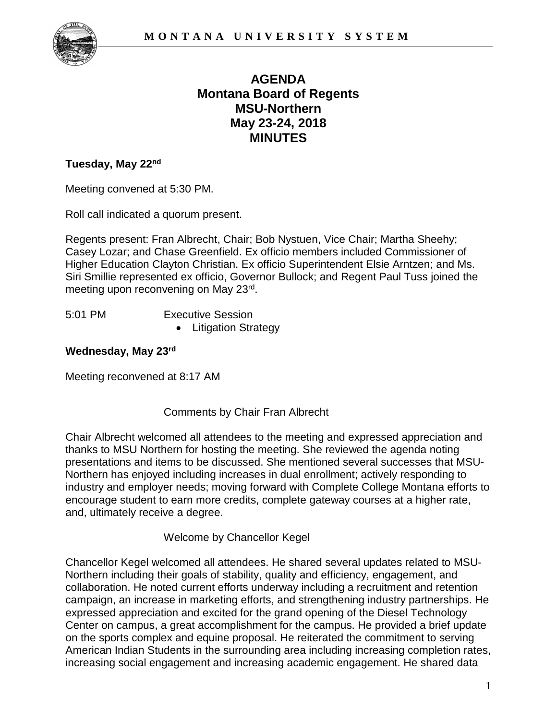

# **AGENDA Montana Board of Regents MSU-Northern May 23-24, 2018 MINUTES**

#### **Tuesday, May 22nd**

Meeting convened at 5:30 PM.

Roll call indicated a quorum present.

Regents present: Fran Albrecht, Chair; Bob Nystuen, Vice Chair; Martha Sheehy; Casey Lozar; and Chase Greenfield. Ex officio members included Commissioner of Higher Education Clayton Christian. Ex officio Superintendent Elsie Arntzen; and Ms. Siri Smillie represented ex officio, Governor Bullock; and Regent Paul Tuss joined the meeting upon reconvening on May 23rd.

- 5:01 PM Executive Session
	- Litigation Strategy

#### **Wednesday, May 23rd**

Meeting reconvened at 8:17 AM

## Comments by Chair Fran Albrecht

Chair Albrecht welcomed all attendees to the meeting and expressed appreciation and thanks to MSU Northern for hosting the meeting. She reviewed the agenda noting presentations and items to be discussed. She mentioned several successes that MSU-Northern has enjoyed including increases in dual enrollment; actively responding to industry and employer needs; moving forward with Complete College Montana efforts to encourage student to earn more credits, complete gateway courses at a higher rate, and, ultimately receive a degree.

Welcome by Chancellor Kegel

Chancellor Kegel welcomed all attendees. He shared several updates related to MSU-Northern including their goals of stability, quality and efficiency, engagement, and collaboration. He noted current efforts underway including a recruitment and retention campaign, an increase in marketing efforts, and strengthening industry partnerships. He expressed appreciation and excited for the grand opening of the Diesel Technology Center on campus, a great accomplishment for the campus. He provided a brief update on the sports complex and equine proposal. He reiterated the commitment to serving American Indian Students in the surrounding area including increasing completion rates, increasing social engagement and increasing academic engagement. He shared data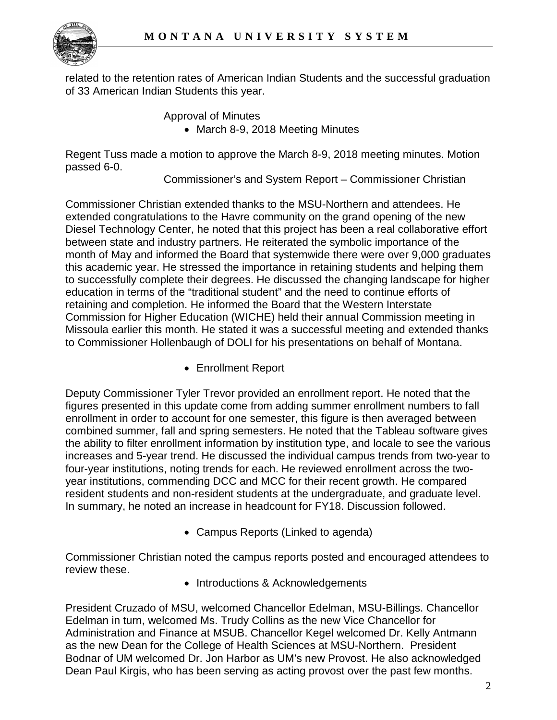

related to the retention rates of American Indian Students and the successful graduation of 33 American Indian Students this year.

Approval of Minutes

• March 8-9, 2018 Meeting Minutes

Regent Tuss made a motion to approve the March 8-9, 2018 meeting minutes. Motion passed 6-0.

Commissioner's and System Report – Commissioner Christian

Commissioner Christian extended thanks to the MSU-Northern and attendees. He extended congratulations to the Havre community on the grand opening of the new Diesel Technology Center, he noted that this project has been a real collaborative effort between state and industry partners. He reiterated the symbolic importance of the month of May and informed the Board that systemwide there were over 9,000 graduates this academic year. He stressed the importance in retaining students and helping them to successfully complete their degrees. He discussed the changing landscape for higher education in terms of the "traditional student" and the need to continue efforts of retaining and completion. He informed the Board that the Western Interstate Commission for Higher Education (WICHE) held their annual Commission meeting in Missoula earlier this month. He stated it was a successful meeting and extended thanks to Commissioner Hollenbaugh of DOLI for his presentations on behalf of Montana.

• Enrollment Report

Deputy Commissioner Tyler Trevor provided an enrollment report. He noted that the figures presented in this update come from adding summer enrollment numbers to fall enrollment in order to account for one semester, this figure is then averaged between combined summer, fall and spring semesters. He noted that the Tableau software gives the ability to filter enrollment information by institution type, and locale to see the various increases and 5-year trend. He discussed the individual campus trends from two-year to four-year institutions, noting trends for each. He reviewed enrollment across the twoyear institutions, commending DCC and MCC for their recent growth. He compared resident students and non-resident students at the undergraduate, and graduate level. In summary, he noted an increase in headcount for FY18. Discussion followed.

• Campus Reports (Linked to agenda)

Commissioner Christian noted the campus reports posted and encouraged attendees to review these.

• Introductions & Acknowledgements

President Cruzado of MSU, welcomed Chancellor Edelman, MSU-Billings. Chancellor Edelman in turn, welcomed Ms. Trudy Collins as the new Vice Chancellor for Administration and Finance at MSUB. Chancellor Kegel welcomed Dr. Kelly Antmann as the new Dean for the College of Health Sciences at MSU-Northern. President Bodnar of UM welcomed Dr. Jon Harbor as UM's new Provost. He also acknowledged Dean Paul Kirgis, who has been serving as acting provost over the past few months.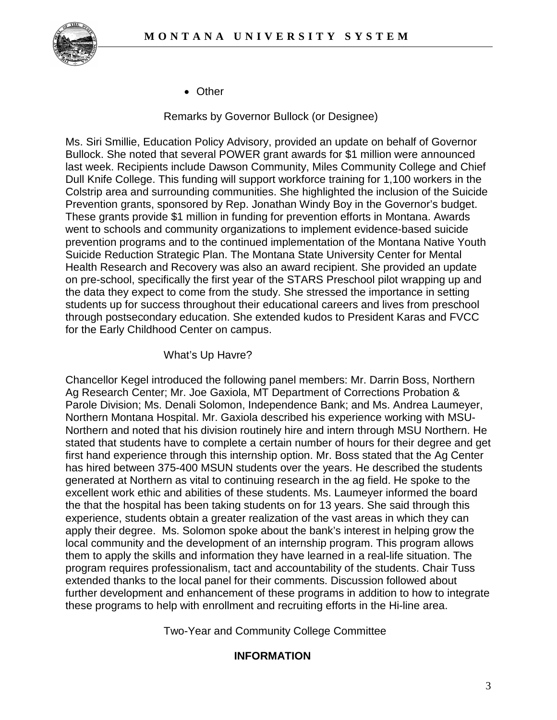

• Other

Remarks by Governor Bullock (or Designee)

Ms. Siri Smillie, Education Policy Advisory, provided an update on behalf of Governor Bullock. She noted that several POWER grant awards for \$1 million were announced last week. Recipients include Dawson Community, Miles Community College and Chief Dull Knife College. This funding will support workforce training for 1,100 workers in the Colstrip area and surrounding communities. She highlighted the inclusion of the Suicide Prevention grants, sponsored by Rep. Jonathan Windy Boy in the Governor's budget. These grants provide \$1 million in funding for prevention efforts in Montana. Awards went to schools and community organizations to implement evidence-based suicide prevention programs and to the continued implementation of the Montana Native Youth Suicide Reduction Strategic Plan. The Montana State University Center for Mental Health Research and Recovery was also an award recipient. She provided an update on pre-school, specifically the first year of the STARS Preschool pilot wrapping up and the data they expect to come from the study. She stressed the importance in setting students up for success throughout their educational careers and lives from preschool through postsecondary education. She extended kudos to President Karas and FVCC for the Early Childhood Center on campus.

## What's Up Havre?

Chancellor Kegel introduced the following panel members: Mr. Darrin Boss, Northern Ag Research Center; Mr. Joe Gaxiola, MT Department of Corrections Probation & Parole Division; Ms. Denali Solomon, Independence Bank; and Ms. Andrea Laumeyer, Northern Montana Hospital. Mr. Gaxiola described his experience working with MSU-Northern and noted that his division routinely hire and intern through MSU Northern. He stated that students have to complete a certain number of hours for their degree and get first hand experience through this internship option. Mr. Boss stated that the Ag Center has hired between 375-400 MSUN students over the years. He described the students generated at Northern as vital to continuing research in the ag field. He spoke to the excellent work ethic and abilities of these students. Ms. Laumeyer informed the board the that the hospital has been taking students on for 13 years. She said through this experience, students obtain a greater realization of the vast areas in which they can apply their degree. Ms. Solomon spoke about the bank's interest in helping grow the local community and the development of an internship program. This program allows them to apply the skills and information they have learned in a real-life situation. The program requires professionalism, tact and accountability of the students. Chair Tuss extended thanks to the local panel for their comments. Discussion followed about further development and enhancement of these programs in addition to how to integrate these programs to help with enrollment and recruiting efforts in the Hi-line area.

Two-Year and Community College Committee

## **INFORMATION**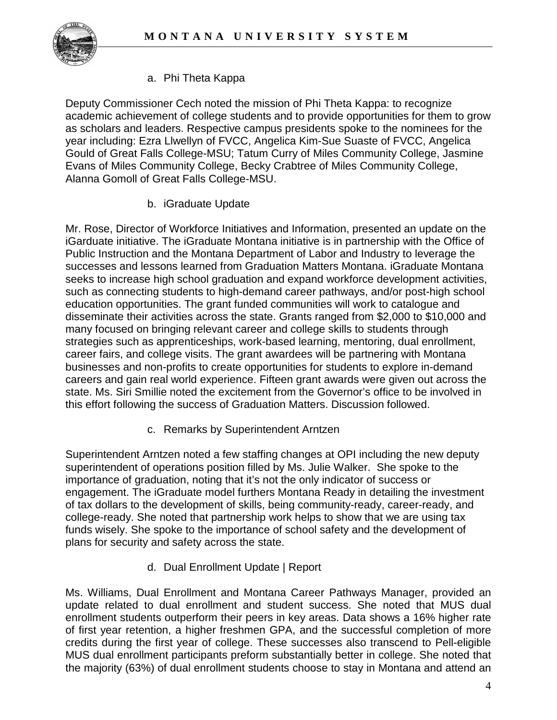

## a. Phi Theta Kappa

Deputy Commissioner Cech noted the mission of Phi Theta Kappa: to recognize academic achievement of college students and to provide opportunities for them to grow as scholars and leaders. Respective campus presidents spoke to the nominees for the year including: Ezra Llwellyn of FVCC, Angelica Kim-Sue Suaste of FVCC, Angelica Gould of Great Falls College-MSU; Tatum Curry of Miles Community College, Jasmine Evans of Miles Community College, Becky Crabtree of Miles Community College, Alanna Gomoll of Great Falls College-MSU.

b. iGraduate Update

Mr. Rose, Director of Workforce Initiatives and Information, presented an update on the iGarduate initiative. The iGraduate Montana initiative is in partnership with the Office of Public Instruction and the Montana Department of Labor and Industry to leverage the successes and lessons learned from Graduation Matters Montana. iGraduate Montana seeks to increase high school graduation and expand workforce development activities, such as connecting students to high-demand career pathways, and/or post-high school education opportunities. The grant funded communities will work to catalogue and disseminate their activities across the state. Grants ranged from \$2,000 to \$10,000 and many focused on bringing relevant career and college skills to students through strategies such as apprenticeships, work-based learning, mentoring, dual enrollment, career fairs, and college visits. The grant awardees will be partnering with Montana businesses and non-profits to create opportunities for students to explore in-demand careers and gain real world experience. Fifteen grant awards were given out across the state. Ms. Siri Smillie noted the excitement from the Governor's office to be involved in this effort following the success of Graduation Matters. Discussion followed.

c. Remarks by Superintendent Arntzen

Superintendent Arntzen noted a few staffing changes at OPI including the new deputy superintendent of operations position filled by Ms. Julie Walker. She spoke to the importance of graduation, noting that it's not the only indicator of success or engagement. The iGraduate model furthers Montana Ready in detailing the investment of tax dollars to the development of skills, being community-ready, career-ready, and college-ready. She noted that partnership work helps to show that we are using tax funds wisely. She spoke to the importance of school safety and the development of plans for security and safety across the state.

d. Dual Enrollment Update | Report

Ms. Williams, Dual Enrollment and Montana Career Pathways Manager, provided an update related to dual enrollment and student success. She noted that MUS dual enrollment students outperform their peers in key areas. Data shows a 16% higher rate of first year retention, a higher freshmen GPA, and the successful completion of more credits during the first year of college. These successes also transcend to Pell-eligible MUS dual enrollment participants preform substantially better in college. She noted that the majority (63%) of dual enrollment students choose to stay in Montana and attend an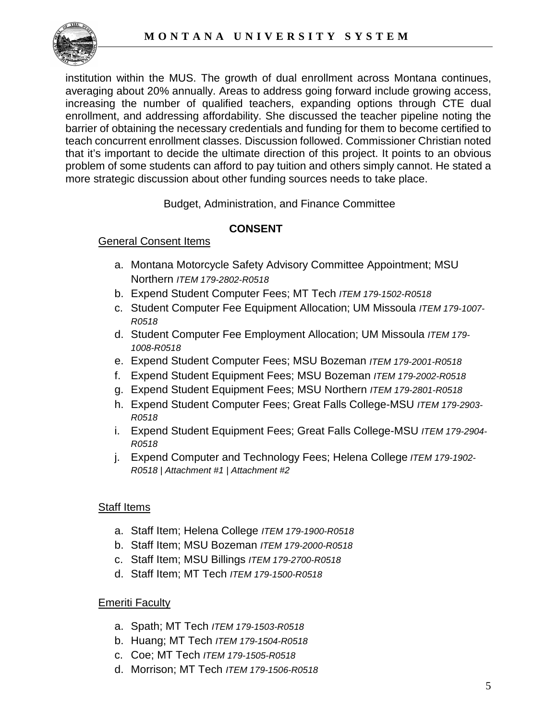

institution within the MUS. The growth of dual enrollment across Montana continues, averaging about 20% annually. Areas to address going forward include growing access, increasing the number of qualified teachers, expanding options through CTE dual enrollment, and addressing affordability. She discussed the teacher pipeline noting the barrier of obtaining the necessary credentials and funding for them to become certified to teach concurrent enrollment classes. Discussion followed. Commissioner Christian noted that it's important to decide the ultimate direction of this project. It points to an obvious problem of some students can afford to pay tuition and others simply cannot. He stated a more strategic discussion about other funding sources needs to take place.

Budget, Administration, and Finance Committee

# **CONSENT**

## General Consent Items

- a. Montana Motorcycle Safety Advisory Committee Appointment; MSU Northern *ITEM 179-2802-R0518*
- b. Expend Student Computer Fees; MT Tech *ITEM 179-1502-R0518*
- c. Student Computer Fee Equipment Allocation; UM Missoula *ITEM 179-1007- R0518*
- d. Student Computer Fee Employment Allocation; UM Missoula *ITEM 179- 1008-R0518*
- e. Expend Student Computer Fees; MSU Bozeman *ITEM 179-2001-R0518*
- f. Expend Student Equipment Fees; MSU Bozeman *ITEM 179-2002-R0518*
- g. Expend Student Equipment Fees; MSU Northern *ITEM 179-2801-R0518*
- h. Expend Student Computer Fees; Great Falls College-MSU *ITEM 179-2903- R0518*
- i. Expend Student Equipment Fees; Great Falls College-MSU *ITEM 179-2904- R0518*
- j. Expend Computer and Technology Fees; Helena College *ITEM 179-1902- R0518 | Attachment #1 | Attachment #2*

## Staff Items

- a. Staff Item; Helena College *ITEM 179-1900-R0518*
- b. Staff Item; MSU Bozeman *ITEM 179-2000-R0518*
- c. Staff Item; MSU Billings *ITEM 179-2700-R0518*
- d. Staff Item; MT Tech *ITEM 179-1500-R0518*

## **Emeriti Faculty**

- a. Spath; MT Tech *ITEM 179-1503-R0518*
- b. Huang; MT Tech *ITEM 179-1504-R0518*
- c. Coe; MT Tech *ITEM 179-1505-R0518*
- d. Morrison; MT Tech *ITEM 179-1506-R0518*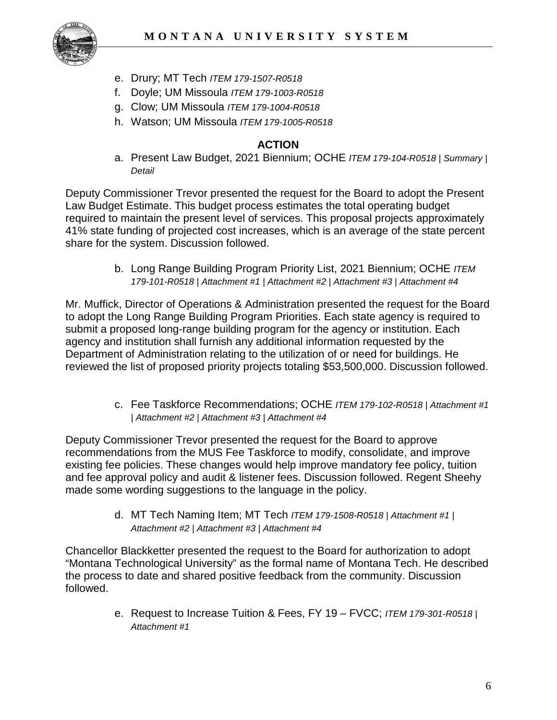

- e. Drury; MT Tech *ITEM 179-1507-R0518*
- f. Doyle; UM Missoula *ITEM 179-1003-R0518*
- g. Clow; UM Missoula *ITEM 179-1004-R0518*
- h. Watson; UM Missoula *ITEM 179-1005-R0518*

#### **ACTION**

a. Present Law Budget, 2021 Biennium; OCHE *ITEM 179-104-R0518 | Summary | Detail*

Deputy Commissioner Trevor presented the request for the Board to adopt the Present Law Budget Estimate. This budget process estimates the total operating budget required to maintain the present level of services. This proposal projects approximately 41% state funding of projected cost increases, which is an average of the state percent share for the system. Discussion followed.

> b. Long Range Building Program Priority List, 2021 Biennium; OCHE *ITEM 179-101-R0518 | Attachment #1 | Attachment #2 | Attachment #3 | Attachment #4*

Mr. Muffick, Director of Operations & Administration presented the request for the Board to adopt the Long Range Building Program Priorities. Each state agency is required to submit a proposed long-range building program for the agency or institution. Each agency and institution shall furnish any additional information requested by the Department of Administration relating to the utilization of or need for buildings. He reviewed the list of proposed priority projects totaling \$53,500,000. Discussion followed.

> c. Fee Taskforce Recommendations; OCHE *ITEM 179-102-R0518 | Attachment #1 | Attachment #2 | Attachment #3 | Attachment #4*

Deputy Commissioner Trevor presented the request for the Board to approve recommendations from the MUS Fee Taskforce to modify, consolidate, and improve existing fee policies. These changes would help improve mandatory fee policy, tuition and fee approval policy and audit & listener fees. Discussion followed. Regent Sheehy made some wording suggestions to the language in the policy.

> d. MT Tech Naming Item; MT Tech *ITEM 179-1508-R0518 | Attachment #1 | Attachment #2 | Attachment #3 | Attachment #4*

Chancellor Blackketter presented the request to the Board for authorization to adopt "Montana Technological University" as the formal name of Montana Tech. He described the process to date and shared positive feedback from the community. Discussion followed.

> e. Request to Increase Tuition & Fees, FY 19 – FVCC; *ITEM 179-301-R0518 | Attachment #1*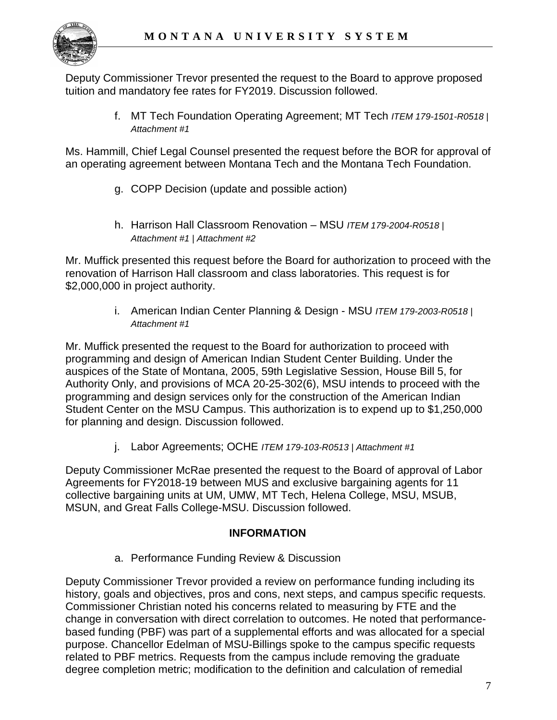

Deputy Commissioner Trevor presented the request to the Board to approve proposed tuition and mandatory fee rates for FY2019. Discussion followed.

> f. MT Tech Foundation Operating Agreement; MT Tech *ITEM 179-1501-R0518 | Attachment #1*

Ms. Hammill, Chief Legal Counsel presented the request before the BOR for approval of an operating agreement between Montana Tech and the Montana Tech Foundation.

- g. COPP Decision (update and possible action)
- h. Harrison Hall Classroom Renovation MSU *ITEM 179-2004-R0518 | Attachment #1 | Attachment #2*

Mr. Muffick presented this request before the Board for authorization to proceed with the renovation of Harrison Hall classroom and class laboratories. This request is for \$2,000,000 in project authority.

> i. American Indian Center Planning & Design - MSU *ITEM 179-2003-R0518 | Attachment #1*

Mr. Muffick presented the request to the Board for authorization to proceed with programming and design of American Indian Student Center Building. Under the auspices of the State of Montana, 2005, 59th Legislative Session, House Bill 5, for Authority Only, and provisions of MCA 20-25-302(6), MSU intends to proceed with the programming and design services only for the construction of the American Indian Student Center on the MSU Campus. This authorization is to expend up to \$1,250,000 for planning and design. Discussion followed.

j. Labor Agreements; OCHE *ITEM 179-103-R0513 | Attachment #1*

Deputy Commissioner McRae presented the request to the Board of approval of Labor Agreements for FY2018-19 between MUS and exclusive bargaining agents for 11 collective bargaining units at UM, UMW, MT Tech, Helena College, MSU, MSUB, MSUN, and Great Falls College-MSU. Discussion followed.

# **INFORMATION**

a. Performance Funding Review & Discussion

Deputy Commissioner Trevor provided a review on performance funding including its history, goals and objectives, pros and cons, next steps, and campus specific requests. Commissioner Christian noted his concerns related to measuring by FTE and the change in conversation with direct correlation to outcomes. He noted that performancebased funding (PBF) was part of a supplemental efforts and was allocated for a special purpose. Chancellor Edelman of MSU-Billings spoke to the campus specific requests related to PBF metrics. Requests from the campus include removing the graduate degree completion metric; modification to the definition and calculation of remedial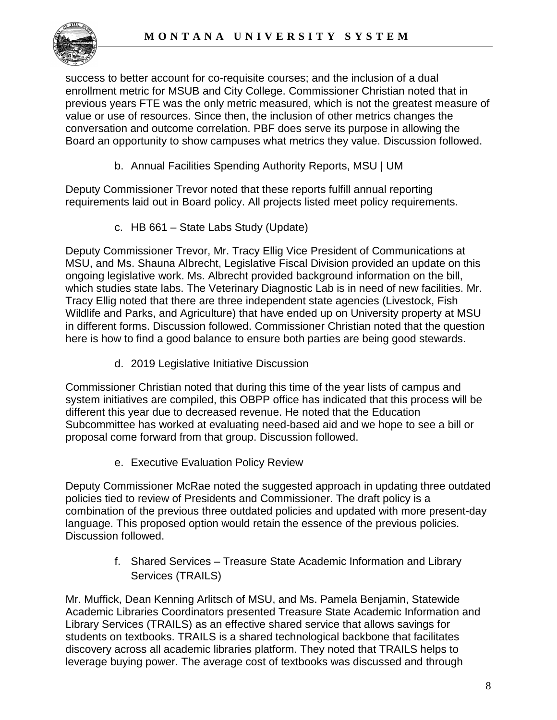

success to better account for co-requisite courses; and the inclusion of a dual enrollment metric for MSUB and City College. Commissioner Christian noted that in previous years FTE was the only metric measured, which is not the greatest measure of value or use of resources. Since then, the inclusion of other metrics changes the conversation and outcome correlation. PBF does serve its purpose in allowing the Board an opportunity to show campuses what metrics they value. Discussion followed.

b. Annual Facilities Spending Authority Reports, MSU | UM

Deputy Commissioner Trevor noted that these reports fulfill annual reporting requirements laid out in Board policy. All projects listed meet policy requirements.

c. HB 661 – State Labs Study (Update)

Deputy Commissioner Trevor, Mr. Tracy Ellig Vice President of Communications at MSU, and Ms. Shauna Albrecht, Legislative Fiscal Division provided an update on this ongoing legislative work. Ms. Albrecht provided background information on the bill, which studies state labs. The Veterinary Diagnostic Lab is in need of new facilities. Mr. Tracy Ellig noted that there are three independent state agencies (Livestock, Fish Wildlife and Parks, and Agriculture) that have ended up on University property at MSU in different forms. Discussion followed. Commissioner Christian noted that the question here is how to find a good balance to ensure both parties are being good stewards.

d. 2019 Legislative Initiative Discussion

Commissioner Christian noted that during this time of the year lists of campus and system initiatives are compiled, this OBPP office has indicated that this process will be different this year due to decreased revenue. He noted that the Education Subcommittee has worked at evaluating need-based aid and we hope to see a bill or proposal come forward from that group. Discussion followed.

e. Executive Evaluation Policy Review

Deputy Commissioner McRae noted the suggested approach in updating three outdated policies tied to review of Presidents and Commissioner. The draft policy is a combination of the previous three outdated policies and updated with more present-day language. This proposed option would retain the essence of the previous policies. Discussion followed.

> f. Shared Services – Treasure State Academic Information and Library Services (TRAILS)

Mr. Muffick, Dean Kenning Arlitsch of MSU, and Ms. Pamela Benjamin, Statewide Academic Libraries Coordinators presented Treasure State Academic Information and Library Services (TRAILS) as an effective shared service that allows savings for students on textbooks. TRAILS is a shared technological backbone that facilitates discovery across all academic libraries platform. They noted that TRAILS helps to leverage buying power. The average cost of textbooks was discussed and through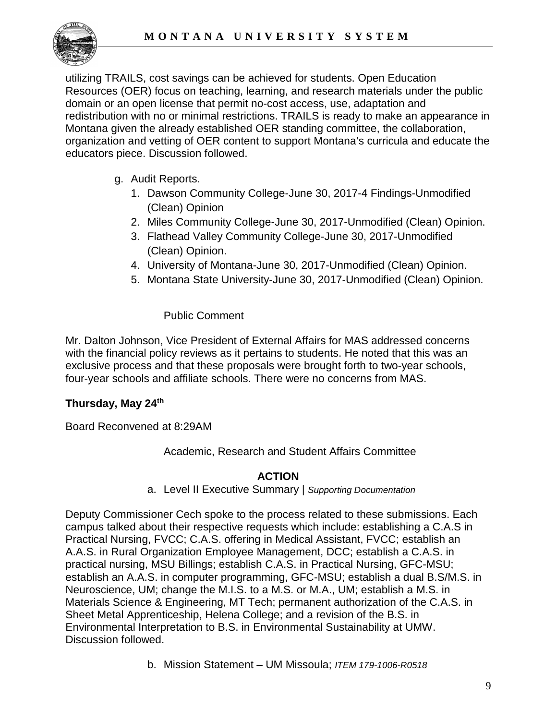

utilizing TRAILS, cost savings can be achieved for students. Open Education Resources (OER) focus on teaching, learning, and research materials under the public domain or an open license that permit no-cost access, use, adaptation and redistribution with no or minimal restrictions. TRAILS is ready to make an appearance in Montana given the already established OER standing committee, the collaboration, organization and vetting of OER content to support Montana's curricula and educate the educators piece. Discussion followed.

- g. Audit Reports.
	- 1. Dawson Community College-June 30, 2017-4 Findings-Unmodified (Clean) Opinion
	- 2. Miles Community College-June 30, 2017-Unmodified (Clean) Opinion.
	- 3. Flathead Valley Community College-June 30, 2017-Unmodified (Clean) Opinion.
	- 4. University of Montana-June 30, 2017-Unmodified (Clean) Opinion.
	- 5. Montana State University-June 30, 2017-Unmodified (Clean) Opinion.

## Public Comment

Mr. Dalton Johnson, Vice President of External Affairs for MAS addressed concerns with the financial policy reviews as it pertains to students. He noted that this was an exclusive process and that these proposals were brought forth to two-year schools, four-year schools and affiliate schools. There were no concerns from MAS.

## **Thursday, May 24th**

Board Reconvened at 8:29AM

Academic, Research and Student Affairs Committee

## **ACTION**

a. Level II Executive Summary | *Supporting Documentation*

Deputy Commissioner Cech spoke to the process related to these submissions. Each campus talked about their respective requests which include: establishing a C.A.S in Practical Nursing, FVCC; C.A.S. offering in Medical Assistant, FVCC; establish an A.A.S. in Rural Organization Employee Management, DCC; establish a C.A.S. in practical nursing, MSU Billings; establish C.A.S. in Practical Nursing, GFC-MSU; establish an A.A.S. in computer programming, GFC-MSU; establish a dual B.S/M.S. in Neuroscience, UM; change the M.I.S. to a M.S. or M.A., UM; establish a M.S. in Materials Science & Engineering, MT Tech; permanent authorization of the C.A.S. in Sheet Metal Apprenticeship, Helena College; and a revision of the B.S. in Environmental Interpretation to B.S. in Environmental Sustainability at UMW. Discussion followed.

b. Mission Statement – UM Missoula; *ITEM 179-1006-R0518*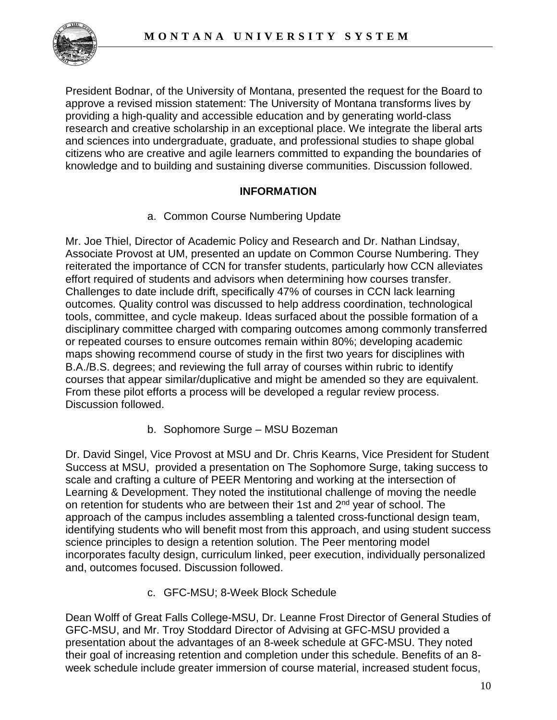

President Bodnar, of the University of Montana, presented the request for the Board to approve a revised mission statement: The University of Montana transforms lives by providing a high-quality and accessible education and by generating world-class research and creative scholarship in an exceptional place. We integrate the liberal arts and sciences into undergraduate, graduate, and professional studies to shape global citizens who are creative and agile learners committed to expanding the boundaries of knowledge and to building and sustaining diverse communities. Discussion followed.

## **INFORMATION**

a. Common Course Numbering Update

Mr. Joe Thiel, Director of Academic Policy and Research and Dr. Nathan Lindsay, Associate Provost at UM, presented an update on Common Course Numbering. They reiterated the importance of CCN for transfer students, particularly how CCN alleviates effort required of students and advisors when determining how courses transfer. Challenges to date include drift, specifically 47% of courses in CCN lack learning outcomes. Quality control was discussed to help address coordination, technological tools, committee, and cycle makeup. Ideas surfaced about the possible formation of a disciplinary committee charged with comparing outcomes among commonly transferred or repeated courses to ensure outcomes remain within 80%; developing academic maps showing recommend course of study in the first two years for disciplines with B.A./B.S. degrees; and reviewing the full array of courses within rubric to identify courses that appear similar/duplicative and might be amended so they are equivalent. From these pilot efforts a process will be developed a regular review process. Discussion followed.

b. Sophomore Surge – MSU Bozeman

Dr. David Singel, Vice Provost at MSU and Dr. Chris Kearns, Vice President for Student Success at MSU, provided a presentation on The Sophomore Surge, taking success to scale and crafting a culture of PEER Mentoring and working at the intersection of Learning & Development. They noted the institutional challenge of moving the needle on retention for students who are between their 1st and 2<sup>nd</sup> year of school. The approach of the campus includes assembling a talented cross-functional design team, identifying students who will benefit most from this approach, and using student success science principles to design a retention solution. The Peer mentoring model incorporates faculty design, curriculum linked, peer execution, individually personalized and, outcomes focused. Discussion followed.

c. GFC-MSU; 8-Week Block Schedule

Dean Wolff of Great Falls College-MSU, Dr. Leanne Frost Director of General Studies of GFC-MSU, and Mr. Troy Stoddard Director of Advising at GFC-MSU provided a presentation about the advantages of an 8-week schedule at GFC-MSU. They noted their goal of increasing retention and completion under this schedule. Benefits of an 8 week schedule include greater immersion of course material, increased student focus,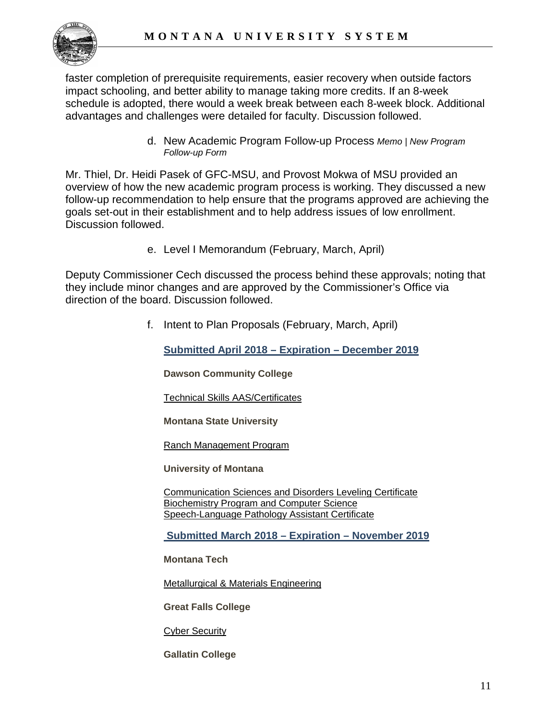faster completion of prerequisite requirements, easier recovery when outside factors impact schooling, and better ability to manage taking more credits. If an 8-week schedule is adopted, there would a week break between each 8-week block. Additional advantages and challenges were detailed for faculty. Discussion followed.

> d. New Academic Program Follow-up Process *Memo | New Program Follow-up Form*

Mr. Thiel, Dr. Heidi Pasek of GFC-MSU, and Provost Mokwa of MSU provided an overview of how the new academic program process is working. They discussed a new follow-up recommendation to help ensure that the programs approved are achieving the goals set-out in their establishment and to help address issues of low enrollment. Discussion followed.

e. Level I Memorandum (February, March, April)

Deputy Commissioner Cech discussed the process behind these approvals; noting that they include minor changes and are approved by the Commissioner's Office via direction of the board. Discussion followed.

f. Intent to Plan Proposals (February, March, April)

**Submitted April 2018 – Expiration – December 2019**

**Dawson Community College**

[Technical Skills AAS/Certificates](http://mus.edu/che/arsa/IntenttoPlan/2018/DCC-IP-TechnicalSkills.pdf)

**Montana State University**

[Ranch Management Program](http://mus.edu/che/arsa/IntenttoPlan/2018/MSU-IP-RanchManagement.pdf)

**University of Montana**

[Communication Sciences and Disorders Leveling Certificate](http://mus.edu/che/arsa/IntenttoPlan/2018/UM-IP-CommSciDisordersLevelingCert.pdf) [Biochemistry Program and Computer Science](http://mus.edu/che/arsa/IntenttoPlan/2018/UM-IP-ComputationalBiochemistry.pdf) [Speech-Language Pathology Assistant Certificate](http://mus.edu/che/arsa/IntenttoPlan/2018/UM-IP-SpeechLanguagePathAssistantCert.pdf)

**Submitted March 2018 – Expiration – November 2019**

**Montana Tech**

[Metallurgical & Materials Engineering](http://mus.edu/che/arsa/IntenttoPlan/2018/IP-MontanaTech-Metallurgical-Materials-Engineering-Modification.pdf)

**Great Falls College**

[Cyber Security](http://mus.edu/che/arsa/IntenttoPlan/2018/GFC-Cyber-Security-IP.PDF)

**Gallatin College**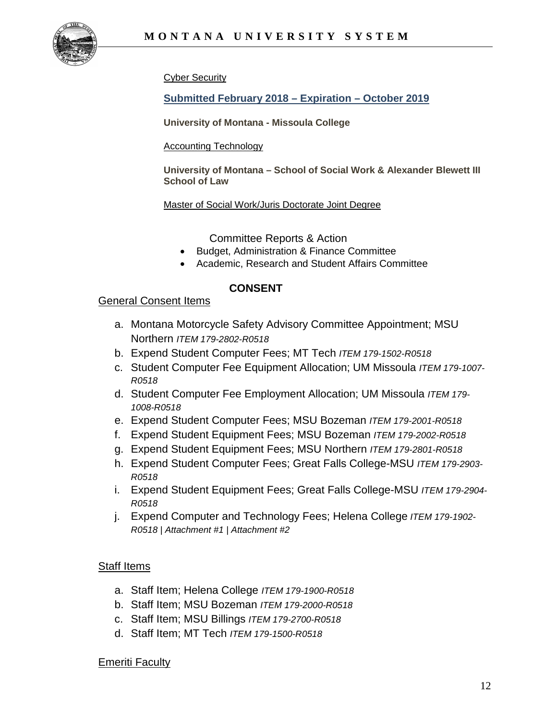

[Cyber Security](http://mus.edu/che/arsa/IntenttoPlan/2018/GC-Cyber-Security-IP.PDF)

**Submitted February 2018 – Expiration – October 2019**

**University of Montana - Missoula College**

#### [Accounting Technology](http://mus.edu/che/arsa/IntenttoPlan/2018/ITP-Accounting-Tech-CAS.PDF)

**University of Montana – School of Social Work & Alexander Blewett III School of Law**

[Master of Social Work/Juris Doctorate Joint Degree](http://mus.edu/che/arsa/IntenttoPlan/2018/ITP-MSW-JD-Joint-degree.pdf)

Committee Reports & Action

- Budget, Administration & Finance Committee
- Academic, Research and Student Affairs Committee

#### **CONSENT**

#### General Consent Items

- a. Montana Motorcycle Safety Advisory Committee Appointment; MSU Northern *ITEM 179-2802-R0518*
- b. Expend Student Computer Fees; MT Tech *ITEM 179-1502-R0518*
- c. Student Computer Fee Equipment Allocation; UM Missoula *ITEM 179-1007- R0518*
- d. Student Computer Fee Employment Allocation; UM Missoula *ITEM 179- 1008-R0518*
- e. Expend Student Computer Fees; MSU Bozeman *ITEM 179-2001-R0518*
- f. Expend Student Equipment Fees; MSU Bozeman *ITEM 179-2002-R0518*
- g. Expend Student Equipment Fees; MSU Northern *ITEM 179-2801-R0518*
- h. Expend Student Computer Fees; Great Falls College-MSU *ITEM 179-2903- R0518*
- i. Expend Student Equipment Fees; Great Falls College-MSU *ITEM 179-2904- R0518*
- j. Expend Computer and Technology Fees; Helena College *ITEM 179-1902- R0518 | Attachment #1 | Attachment #2*

#### Staff Items

- a. Staff Item; Helena College *ITEM 179-1900-R0518*
- b. Staff Item; MSU Bozeman *ITEM 179-2000-R0518*
- c. Staff Item; MSU Billings *ITEM 179-2700-R0518*
- d. Staff Item; MT Tech *ITEM 179-1500-R0518*

#### Emeriti Faculty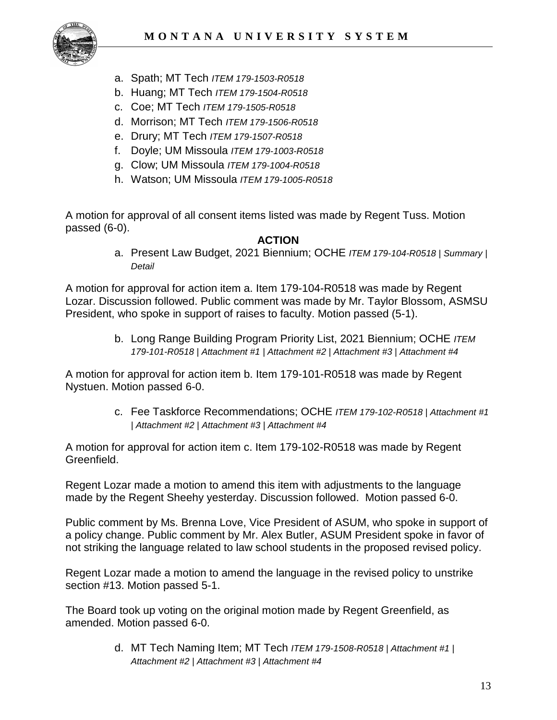

- a. Spath; MT Tech *ITEM 179-1503-R0518*
- b. Huang; MT Tech *ITEM 179-1504-R0518*
- c. Coe; MT Tech *ITEM 179-1505-R0518*
- d. Morrison; MT Tech *ITEM 179-1506-R0518*
- e. Drury; MT Tech *ITEM 179-1507-R0518*
- f. Doyle; UM Missoula *ITEM 179-1003-R0518*
- g. Clow; UM Missoula *ITEM 179-1004-R0518*
- h. Watson; UM Missoula *ITEM 179-1005-R0518*

A motion for approval of all consent items listed was made by Regent Tuss. Motion passed (6-0).

#### **ACTION**

a. Present Law Budget, 2021 Biennium; OCHE *ITEM 179-104-R0518 | Summary | Detail*

A motion for approval for action item a. Item 179-104-R0518 was made by Regent Lozar. Discussion followed. Public comment was made by Mr. Taylor Blossom, ASMSU President, who spoke in support of raises to faculty. Motion passed (5-1).

> b. Long Range Building Program Priority List, 2021 Biennium; OCHE *ITEM 179-101-R0518 | Attachment #1 | Attachment #2 | Attachment #3 | Attachment #4*

A motion for approval for action item b. Item 179-101-R0518 was made by Regent Nystuen. Motion passed 6-0.

> c. Fee Taskforce Recommendations; OCHE *ITEM 179-102-R0518 | Attachment #1 | Attachment #2 | Attachment #3 | Attachment #4*

A motion for approval for action item c. Item 179-102-R0518 was made by Regent Greenfield.

Regent Lozar made a motion to amend this item with adjustments to the language made by the Regent Sheehy yesterday. Discussion followed. Motion passed 6-0.

Public comment by Ms. Brenna Love, Vice President of ASUM, who spoke in support of a policy change. Public comment by Mr. Alex Butler, ASUM President spoke in favor of not striking the language related to law school students in the proposed revised policy.

Regent Lozar made a motion to amend the language in the revised policy to unstrike section #13. Motion passed 5-1.

The Board took up voting on the original motion made by Regent Greenfield, as amended. Motion passed 6-0.

> d. MT Tech Naming Item; MT Tech *ITEM 179-1508-R0518 | Attachment #1 | Attachment #2 | Attachment #3 | Attachment #4*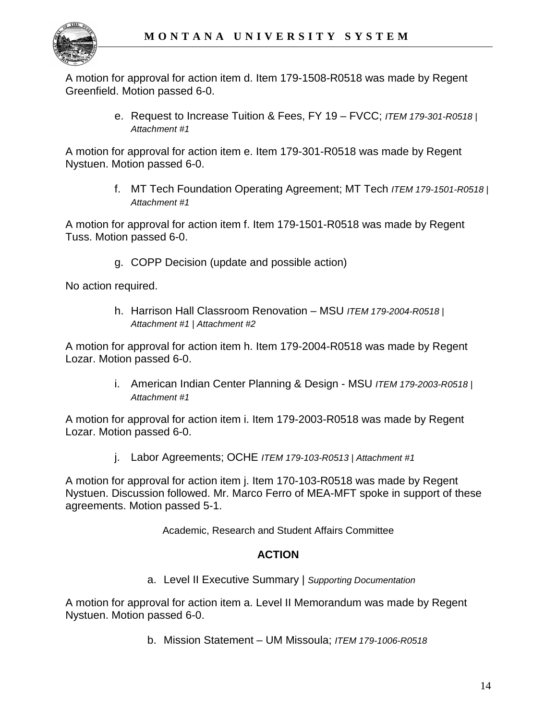

A motion for approval for action item d. Item 179-1508-R0518 was made by Regent Greenfield. Motion passed 6-0.

> e. Request to Increase Tuition & Fees, FY 19 – FVCC; *ITEM 179-301-R0518 | Attachment #1*

A motion for approval for action item e. Item 179-301-R0518 was made by Regent Nystuen. Motion passed 6-0.

> f. MT Tech Foundation Operating Agreement; MT Tech *ITEM 179-1501-R0518 | Attachment #1*

A motion for approval for action item f. Item 179-1501-R0518 was made by Regent Tuss. Motion passed 6-0.

g. COPP Decision (update and possible action)

No action required.

h. Harrison Hall Classroom Renovation – MSU *ITEM 179-2004-R0518 | Attachment #1 | Attachment #2*

A motion for approval for action item h. Item 179-2004-R0518 was made by Regent Lozar. Motion passed 6-0.

> i. American Indian Center Planning & Design - MSU *ITEM 179-2003-R0518 | Attachment #1*

A motion for approval for action item i. Item 179-2003-R0518 was made by Regent Lozar. Motion passed 6-0.

j. Labor Agreements; OCHE *ITEM 179-103-R0513 | Attachment #1*

A motion for approval for action item j. Item 170-103-R0518 was made by Regent Nystuen. Discussion followed. Mr. Marco Ferro of MEA-MFT spoke in support of these agreements. Motion passed 5-1.

Academic, Research and Student Affairs Committee

## **ACTION**

a. Level II Executive Summary | *Supporting Documentation*

A motion for approval for action item a. Level II Memorandum was made by Regent Nystuen. Motion passed 6-0.

b. Mission Statement – UM Missoula; *ITEM 179-1006-R0518*